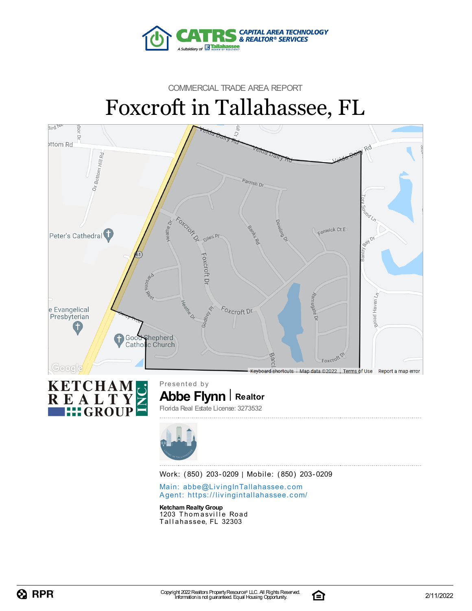

# COMMERCIAL TRADE AREA REPORT Foxcroft in Tallahassee, FL





Work: (850) 203-0209 | Mobile: (850) 203-0209

Main: abbe@LivingInTallaha[sse](mailto:abbe@LivingInTallahassee.com)e.com Agent: https://livingintallaha[sse](https://livingintallahassee.com/)e.com/

**Ketcham RealtyGroup** 1203 Thomasville Road Tallahassee, FL 32303

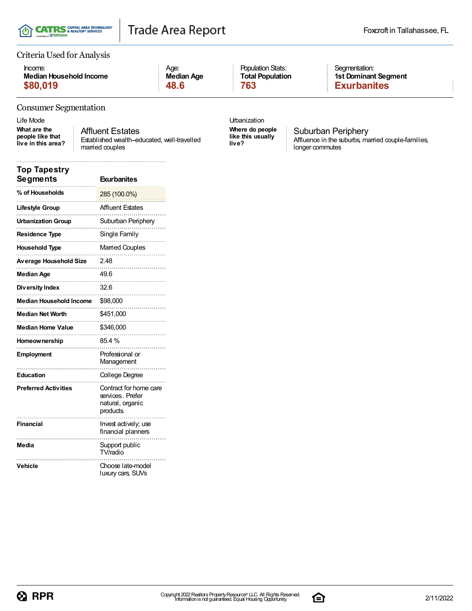

#### Criteria Used for Analysis

| Income:                 | Aae:       |
|-------------------------|------------|
| Median Household Income | Median Age |
| \$80,019                | 48.6       |

### Population Stats: **Total Population**

#### Segmentation: **1st Dominant Segment \$80,019 48.6 763 Exurbanites**

#### Consumer Segmentation

**What are the people like that live in this area?**

Affluent Estates Established wealth-educated, well-travelled married couples

**Where do people like this usually live?**

**Urbanization** 

Suburban Periphery Affluence in the suburbs, married couple-families, longer commutes

| <b>Top Tapestry</b><br><b>Segments</b> | <b>Exurbanites</b>                                                                 |
|----------------------------------------|------------------------------------------------------------------------------------|
| % of Households                        | 285 (100.0%)                                                                       |
| Lifestyle Group                        | <b>Affluent Estates</b>                                                            |
| <b>Urbanization Group</b>              | Suburban Periphery                                                                 |
| <b>Residence Type</b>                  | Single Family                                                                      |
| <b>Household Type</b>                  | Married Couples                                                                    |
| Average Household Size                 | 2.48                                                                               |
| <b>Median Age</b>                      | 49.6                                                                               |
| Diversity Index                        | 32.6                                                                               |
| <b>Median Household Income</b>         | \$98,000                                                                           |
| <b>Median Net Worth</b>                | \$451,000                                                                          |
| <b>Median Home Value</b>               | \$346,000                                                                          |
| Homeownership                          | 85.4 %                                                                             |
| <b>Employment</b>                      | Professional or<br>Management                                                      |
| <b>Education</b>                       | College Degree                                                                     |
| <b>Preferred Activities</b>            | Contract for home care<br>services, Prefer<br>natural, organic<br><i>products.</i> |
| <b>Financial</b>                       | Invest actively; use<br>financial planners                                         |
| Media                                  | Support public<br>TV/radio                                                         |
| Vehicle                                | Choose late-model<br>luxury cars, SUVs                                             |

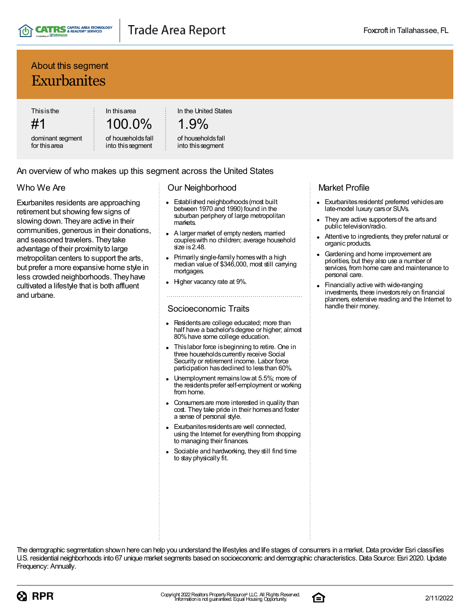

### About this segment **Exurbanites**

**Thisisthe** #1

dominant segment for thisarea

100.0% of householdsfall

into thissegment

In thisarea

In the United States

# 1.9%

#### of householdsfall into thissegment

#### An overview of who makes up this segment across the United States

### Who We Are

Exurbanites residents are approaching retirement but showing fewsigns of slowing down. Theyare active in their communities, generous in their donations, and seasoned travelers. Theytake advantage of their proximity to large metropolitan centers to support the arts, but prefer a more expansive home style in less crowded neighborhoods. Theyhave cultivated a lifestyle that is both affluent and urbane.

#### Our Neighborhood

- Established neighborhoods(most built between 1970 and 1990) found in the suburban periphery of large metropolitan markets.
- A larger market of empty nesters, married coupleswith no children; average household size is 2.48.
- Primarily single-family homes with a high median value of \$346,000, most still carrying mortgages.
- Higher vacancy rate at 9%.

#### Socioeconomic Traits

- Residentsare college educated; more than half have a bachelor's degree or higher; almost 80%have some college education.
- Thislabor force isbeginning to retire. One in three households currently receive Social Security or retirement income. Labor force participation has declined to less than 60%.
- Unemployment remainslowat 5.5%; more of the residentsprefer self-employment or working from home.
- Consumersare more interested in quality than cost. They take pride in their homes and foster a sense of personal style.
- Exurbanites residents are well connected, using the Internet for everything from shopping to managing their finances.
- Sociable and hardworking, they still find time to stay physically fit.

### Market Profile

- Exurbanites residents' preferred vehicles are late-model luxury carsor SUVs.
- They are active supporters of the arts and public television/radio.
- Attentive to ingredients, they prefer natural or organic products.
- Gardening and home improvement are priorities, but they also use a number of services, from home care and maintenance to personal care.
- Financially active with wide-ranging investments, these investors rely on financial planners, extensive reading and the Internet to handle their money.

The demographic segmentation shown here can help you understand the lifestyles and life stages of consumers in a market. Data provider Esri classifies U.S. residential neighborhoods into 67 unique market segments based on socioeconomic and demographic characteristics. Data Source: Esri 2020. Update Frequency: Annually.



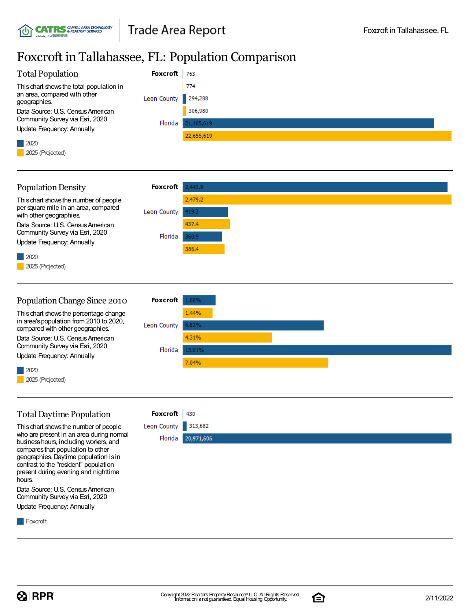### Foxcroft in Tallahassee, FL: Population Comparison

| <b>Total Population</b>                      | <b>Foxcroft</b>     | 763        |
|----------------------------------------------|---------------------|------------|
| This chart shows the total population in     |                     | 774        |
| an area, compared with other<br>geographies. | Leon County 294,288 |            |
| Data Source: U.S. Census American            |                     | 306,980    |
| Community Survey via Esri, 2020              | Florida             | 21,165,619 |
| Update Frequency: Annually                   |                     |            |
|                                              |                     | 22,655,619 |
| $\begin{array}{c c} \hline \end{array}$ 2020 |                     |            |
| 2025 (Projected)                             |                     |            |
|                                              |                     |            |



| Population Change Since 2010                                                | <b>FOXCFOTT</b> 1.60% |        |
|-----------------------------------------------------------------------------|-----------------------|--------|
| This chart shows the percentage change                                      |                       | 1.44%  |
| in area's population from 2010 to 2020,<br>compared with other geographies. | Leon County           | 6.82%  |
| Data Source: U.S. Census American                                           |                       | 4.31%  |
| Community Survey via Esri, 2020                                             | Florida               | 13.01% |
| Update Frequency: Annually                                                  |                       | 7.04%  |
| 2020                                                                        |                       |        |
| 2025 (Projected)                                                            |                       |        |

### Total Daytime Population

Thischart showsthe number of people who are present in an area during normal business hours, including workers, and comparesthat population to other geographies. Daytime population isin contrast to the "resident" population present during evening and nighttime hours.

Data Source: U.S. Census American Community Survey via Esri, 2020 Update Frequency: Annually

**Foxcroft** 



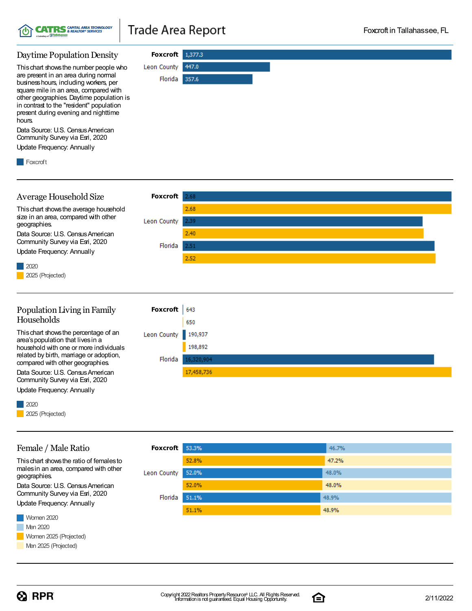

Florida 357.6

447.0

#### Daytime Population Density **Foxcroft** 1,377.3 Leon County

Thischart showsthe number people who are present in an area during normal businesshours, including workers, per square mile in an area, compared with other geographies. Daytime population is in contrast to the "resident" population present during evening and nighttime hours.

Data Source: U.S. Census American Community Survey via Esri, 2020

Update Frequency: Annually



#### **Foxcroft** Average Household Size 2.68 2.68 Thischart showsthe average household size in an area, compared with other Leon County 2.39 geographies.  $2.40$ Data Source: U.S. Census American Community Survey via Esri, 2020 Florida  $2.51$ Update Frequency: Annually 2.52 2020 2025 (Projected) Population Living in Family **Foxcroft** 643 Households 650 Thischart showsthe percentage of an Leon County 190,937 area'spopulation that livesin a 198,892 household with one or more individuals related by birth, marriage or adoption, Florida 16,320,904 compared with other geographies.

17,458,736

Data Source: U.S. Census American Community Survey via Esri, 2020 Update Frequency: Annually

2020

Female / Male Ratio

Thischart showsthe ratio of femalesto malesin an area, compared with other

Data Source: U.S. Census American Community Survey via Esri, 2020 Update Frequency: Annually

2025 (Projected)

geographies.

 $\Omega$  RPR

#### **Foxcroft** 53.3% 46.7% 52.8% 47.2% 52.0% 48.0% Leon County 52.0% 48.0% Florida 51.1% 48.9% 48.9% 51.1%



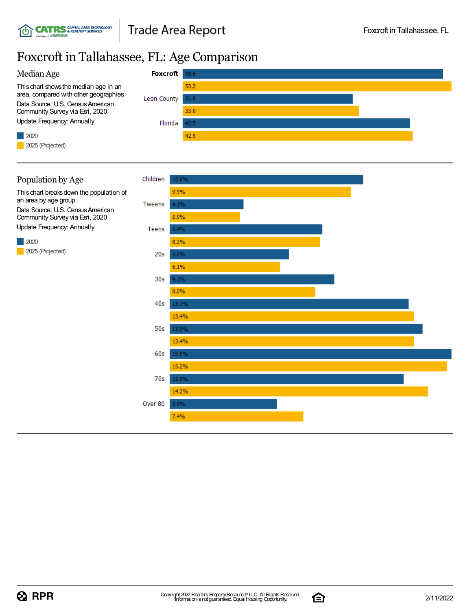## Foxcroft in Tallahassee, FL: Age Comparison





Thischart breaksdown the population of an area by age group. Data Source: U.S. Census American Community Survey via Esri, 2020 Update Frequency: Annually

2020 2025 (Projected)



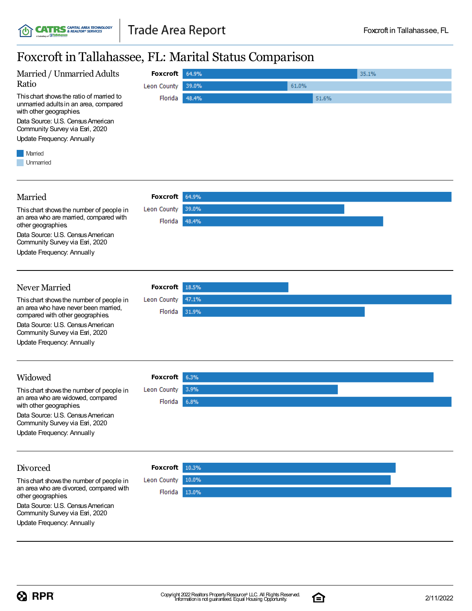## Foxcroft in Tallahassee, FL: Marital Status Comparison

| Foxcroft in Tallahassee, FL: Marital Status Comparison                                                                                                                                                                    |                                |                                  |  |  |  |
|---------------------------------------------------------------------------------------------------------------------------------------------------------------------------------------------------------------------------|--------------------------------|----------------------------------|--|--|--|
| Married / Unmarried Adults<br>Ratio                                                                                                                                                                                       | <b>Foxcroft</b><br>Leon County | 64.9%<br>35.1%<br>61.0%<br>39.0% |  |  |  |
| This chart shows the ratio of married to<br>unmarried adults in an area, compared<br>with other geographies.<br>Data Source: U.S. Census American<br>Community Survey via Esri, 2020<br><b>Update Frequency: Annually</b> | Florida                        | 48.4%<br>51.6%                   |  |  |  |
| Married<br>Unmarried                                                                                                                                                                                                      |                                |                                  |  |  |  |
| Married                                                                                                                                                                                                                   | <b>Foxcroft</b>                | 64.9%                            |  |  |  |
| This chart shows the number of people in<br>an area who are married, compared with<br>other geographies.                                                                                                                  | Leon County<br>Florida         | 39.0%<br>48.4%                   |  |  |  |
| Data Source: U.S. Census American<br>Community Survey via Esri, 2020<br>Update Frequency: Annually                                                                                                                        |                                |                                  |  |  |  |
| Never Married                                                                                                                                                                                                             | <b>Foxcroft</b>                | 18.5%                            |  |  |  |
| This chart shows the number of people in<br>an area who have never been married.<br>compared with other geographies.                                                                                                      | Leon County<br>Florida         | 47.1%<br>31.9%                   |  |  |  |
| Data Source: U.S. Census American<br>Community Survey via Esri, 2020                                                                                                                                                      |                                |                                  |  |  |  |
| Update Frequency: Annually                                                                                                                                                                                                |                                |                                  |  |  |  |
| Widowed                                                                                                                                                                                                                   | <b>Foxcroft</b>                | 6.3%                             |  |  |  |
| This chart shows the number of people in<br>an area who are widowed, compared<br>with other geographies.                                                                                                                  | Leon County<br>Florida         | 3.9%<br>6.8%                     |  |  |  |
| Data Source: U.S. Census American<br>Community Survey via Esri, 2020                                                                                                                                                      |                                |                                  |  |  |  |
| <b>Update Frequency: Annually</b>                                                                                                                                                                                         |                                |                                  |  |  |  |
| Divorced                                                                                                                                                                                                                  | <b>Foxcroft</b>                | 10.3%                            |  |  |  |
| This chart shows the number of people in                                                                                                                                                                                  | Leon County                    | 10.0%                            |  |  |  |
| an area who are divorced, compared with<br>other geographies.                                                                                                                                                             | Florida                        | 13.0%                            |  |  |  |

Data Source: U.S. Census American Community Survey via Esri, 2020 Update Frequency: Annually

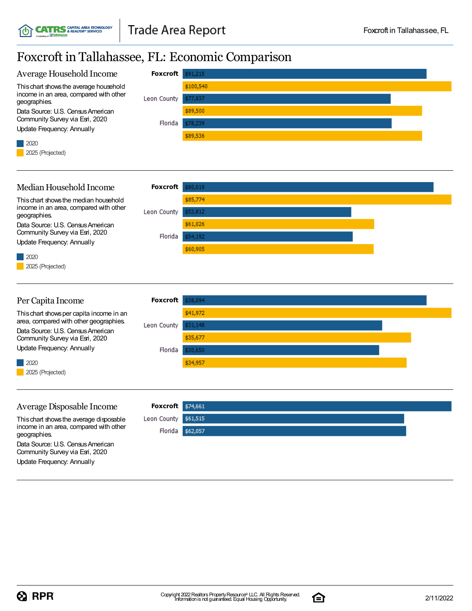### Foxcroft in Tallahassee, FL: Economic Comparison



30,650

\$34,957

Florida

Update Frequency: Annually

2020 2025 (Projected)

#### Average Disposable Income

Thischart showsthe average disposable income in an area, compared with other geographies. Data Source: U.S. Census American Community Survey via Esri, 2020

Update Frequency: Annually

**Foxcroft** \$74,661 Leon County \$61,515 Florida \$62,057

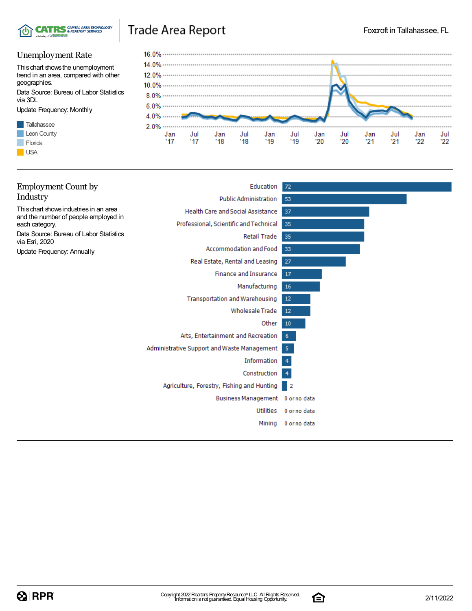

### Unemployment Rate

Thischart showsthe unemployment trend in an area, compared with other geographies.

Data Source: Bureau of Labor Statistics via 3DL

Update Frequency: Monthly





| <b>Employment Count by</b>                                                     | Education                                   | 72             |
|--------------------------------------------------------------------------------|---------------------------------------------|----------------|
| Industry                                                                       | <b>Public Administration</b>                | 53             |
| This chart shows industries in an area<br>and the number of people employed in | Health Care and Social Assistance           | 37             |
| each category.                                                                 | Professional, Scientific and Technical      | 35             |
| Data Source: Bureau of Labor Statistics<br>via Esri, 2020                      | Retail Trade                                | 35             |
| Update Frequency: Annually                                                     | Accommodation and Food                      | 33             |
|                                                                                | Real Estate, Rental and Leasing             | -27            |
|                                                                                | <b>Finance and Insurance</b>                | 17             |
|                                                                                | Manufacturing                               | 16             |
|                                                                                | <b>Transportation and Warehousing</b>       | 12             |
|                                                                                | <b>Wholesale Trade</b>                      | 12             |
|                                                                                | Other                                       | 10             |
|                                                                                | Arts, Entertainment and Recreation          | 6              |
|                                                                                | Administrative Support and Waste Management | -5             |
|                                                                                | Information                                 | $\overline{4}$ |
|                                                                                | Construction                                | $\overline{4}$ |
|                                                                                | Agriculture, Forestry, Fishing and Hunting  | - 2            |
|                                                                                | Business Management 0 or no data            |                |
|                                                                                | <b>Utilities</b>                            | 0 or no data   |
|                                                                                | Mining                                      | 0 or no data   |
|                                                                                |                                             |                |

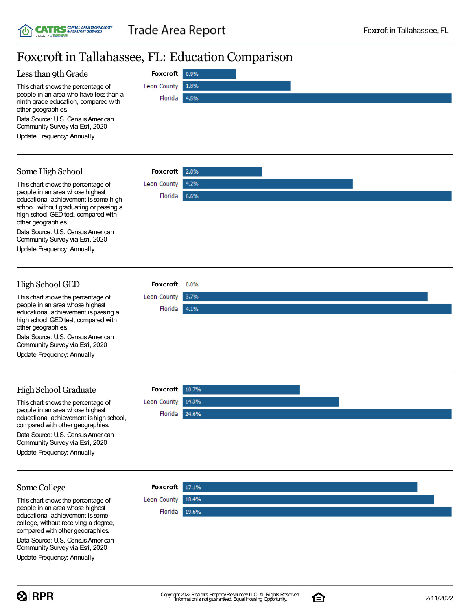0.9%

1.8%

4.5%

2.0%

4.2%

6.6%

### Foxcroft in Tallahassee, FL: Education Comparison

**Foxcroft**

Florida

Leon County

**Foxcroft**

Florida

Leon County

**Foxcroft**

Leon County Florida 3.7%

4.1%

#### Less than 9th Grade

Thischart showsthe percentage of people in an area who have lessthan a ninth grade education, compared with other geographies.

Data Source: U.S. Census American Community Survey via Esri, 2020

Update Frequency: Annually

### Some High School

Thischart showsthe percentage of people in an area whose highest educational achievement is some high school, without graduating or passing a high school GED test, compared with other geographies.

Data Source: U.S. Census American Community Survey via Esri, 2020

Update Frequency: Annually

### High School GED

Thischart showsthe percentage of people in an area whose highest educational achievement ispassing a high school GED test, compared with other geographies.

Data Source: U.S. Census American Community Survey via Esri, 2020

Update Frequency: Annually

### High School Graduate

This chart shows the percentage of people in an area whose highest educational achievement is high school. compared with other geographies. Data Source: U.S. Census American

Community Survey via Esri, 2020 Update Frequency: Annually

### **Foxcroft** Leon County 14.3% Florida 24.6%

#### Some College

Thischart showsthe percentage of people in an area whose highest educational achievement issome college, without receiving a degree, compared with other geographies.

Data Source: U.S. Census American Community Survey via Esri, 2020

Update Frequency: Annually





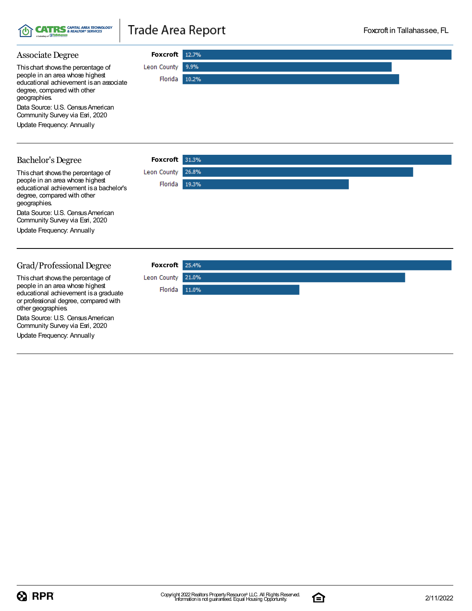

#### Associate Degree **Foxcroft** Leon County 9.9% Thischart showsthe percentage of people in an area whose highest Florida 10.2% educational achievement isan associate degree, compared with other geographies. Data Source: U.S. Census American Community Survey via Esri, 2020 Update Frequency: Annually **Foxcroft** 31.3% Bachelor's Degree Thischart showsthe percentage of Leon County 26.8% people in an area whose highest Florida 19.3% educational achievement isa bachelor's degree, compared with other geographies.

Data Source: U.S. Census American Community Survey via Esri, 2020

Update Frequency: Annually

### Grad/Professional Degree

Thischart showsthe percentage of people in an area whose highest educational achievement isa graduate or professional degree, compared with other geographies.

Data Source: U.S. Census American Community Survey via Esri, 2020

Update Frequency: Annually

| Foxcroft 25.4%    |  |  |
|-------------------|--|--|
| Leon County 21.0% |  |  |
| Florida 11.0%     |  |  |
|                   |  |  |
|                   |  |  |
|                   |  |  |
|                   |  |  |

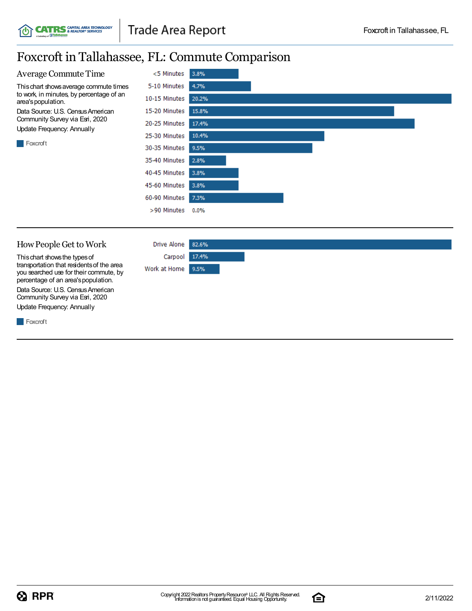# Foxcroft in Tallahassee, FL: Commute Comparison



#### HowPeople Get to Work

Thischart showsthe typesof transportation that residentsof the area you searched use for their commute, by percentage of an area's population. Data Source: U.S. Census American Community Survey via Esri, 2020 Update Frequency: Annually

**CATRS** CAPITAL AREA TECHNOLOGY

**Foxcroft** 



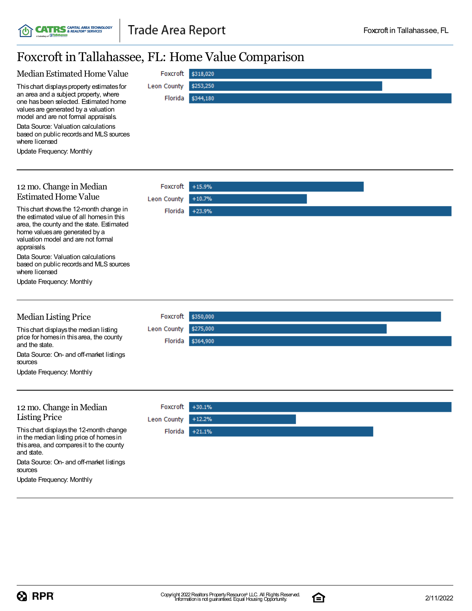## Foxcroft in Tallahassee, FL: Home Value Comparison

**CATRS** CAPITAL AREA TECHNOLOGY

, BT

ď

| FOXCTOIT IN TAILANASSEE, FL: HOME VAIUE COMPATISON                                                                                                                                                                                    |                        |  |  |  |  |
|---------------------------------------------------------------------------------------------------------------------------------------------------------------------------------------------------------------------------------------|------------------------|--|--|--|--|
| Median Estimated Home Value<br>Foxcroft                                                                                                                                                                                               | \$318,020              |  |  |  |  |
| Leon County<br>This chart displays property estimates for<br>an area and a subject property, where<br>Florida<br>one has been selected. Estimated home<br>values are generated by a valuation<br>model and are not formal appraisals. | \$253,250<br>\$344,180 |  |  |  |  |
| Data Source: Valuation calculations<br>based on public records and MLS sources<br>where licensed                                                                                                                                      |                        |  |  |  |  |
| Update Frequency: Monthly                                                                                                                                                                                                             |                        |  |  |  |  |
| 12 mo. Change in Median<br>Foxcroft                                                                                                                                                                                                   | $+15.9%$               |  |  |  |  |
| <b>Estimated Home Value</b><br><b>Leon County</b>                                                                                                                                                                                     | $+10.7%$               |  |  |  |  |
| This chart shows the 12-month change in<br>Florida<br>the estimated value of all homes in this<br>area, the county and the state. Estimated<br>home values are generated by a<br>valuation model and are not formal<br>appraisals.    | $+23.9%$               |  |  |  |  |
| Data Source: Valuation calculations<br>based on public records and MLS sources<br>where licensed                                                                                                                                      |                        |  |  |  |  |
| Update Frequency: Monthly                                                                                                                                                                                                             |                        |  |  |  |  |
| <b>Median Listing Price</b><br>Foxcroft                                                                                                                                                                                               | \$350,000              |  |  |  |  |
| <b>Leon County</b><br>This chart displays the median listing<br>price for homes in this area, the county<br>Florida<br>and the state.                                                                                                 | \$275,000<br>\$364,900 |  |  |  |  |
| Data Source: On- and off-market listings<br>sources                                                                                                                                                                                   |                        |  |  |  |  |
| Update Frequency: Monthly                                                                                                                                                                                                             |                        |  |  |  |  |
| 12 mo. Change in Median<br>Foxcroft                                                                                                                                                                                                   | $+30.1%$               |  |  |  |  |
| <b>Listing Price</b><br><b>Leon County</b>                                                                                                                                                                                            | $+12.2%$               |  |  |  |  |
| This chart displays the 12-month change<br>Florida<br>in the median listing price of homes in<br>this area, and compares it to the county<br>and state.                                                                               | $+21.1%$               |  |  |  |  |
| Data Source: On- and off-market listings<br>sources<br>Update Frequency: Monthly                                                                                                                                                      |                        |  |  |  |  |

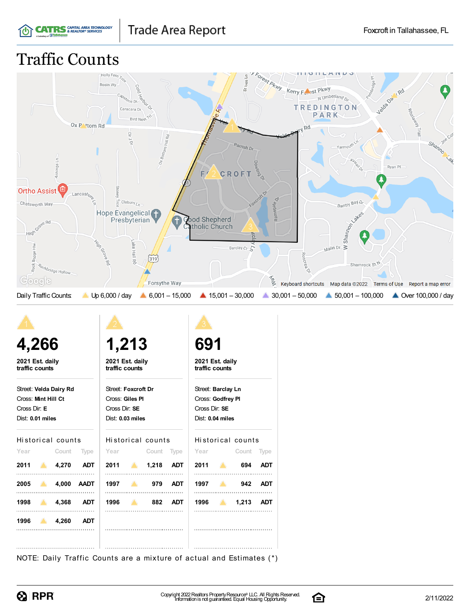

# Traffic Counts



| 1,213<br>2021 Est. daily<br>traffic counts                                  |            | 691                                                                    |                                                                              |                                                              |  |
|-----------------------------------------------------------------------------|------------|------------------------------------------------------------------------|------------------------------------------------------------------------------|--------------------------------------------------------------|--|
|                                                                             |            |                                                                        |                                                                              |                                                              |  |
|                                                                             |            | 2021 Est. daily<br>traffic counts                                      |                                                                              |                                                              |  |
| Street: Foxcroft Dr<br>Cross: Giles PI<br>Cross Dir: SE<br>Dist: 0.03 miles |            |                                                                        | Street: Barclay Ln<br>Cross: Godfrey PI<br>Cross Dir: SE<br>Dist: 0.04 miles |                                                              |  |
|                                                                             |            |                                                                        |                                                                              |                                                              |  |
|                                                                             |            |                                                                        | $\Delta$                                                                     | – Cc                                                         |  |
|                                                                             |            |                                                                        |                                                                              |                                                              |  |
|                                                                             | <b>ADT</b> |                                                                        |                                                                              |                                                              |  |
|                                                                             |            |                                                                        |                                                                              |                                                              |  |
|                                                                             | 1996 882   | Historical counts<br>Year Count Type<br>2011 1,218 ADT<br>1997 979 ADT | Year                                                                         | Historical co<br>2011<br>1997<br>1996<br>$\blacktriangle$ 1. |  |

### $counts$



NOTE: Daily Traffic Counts are a mixture of actual and Estimates (\*)